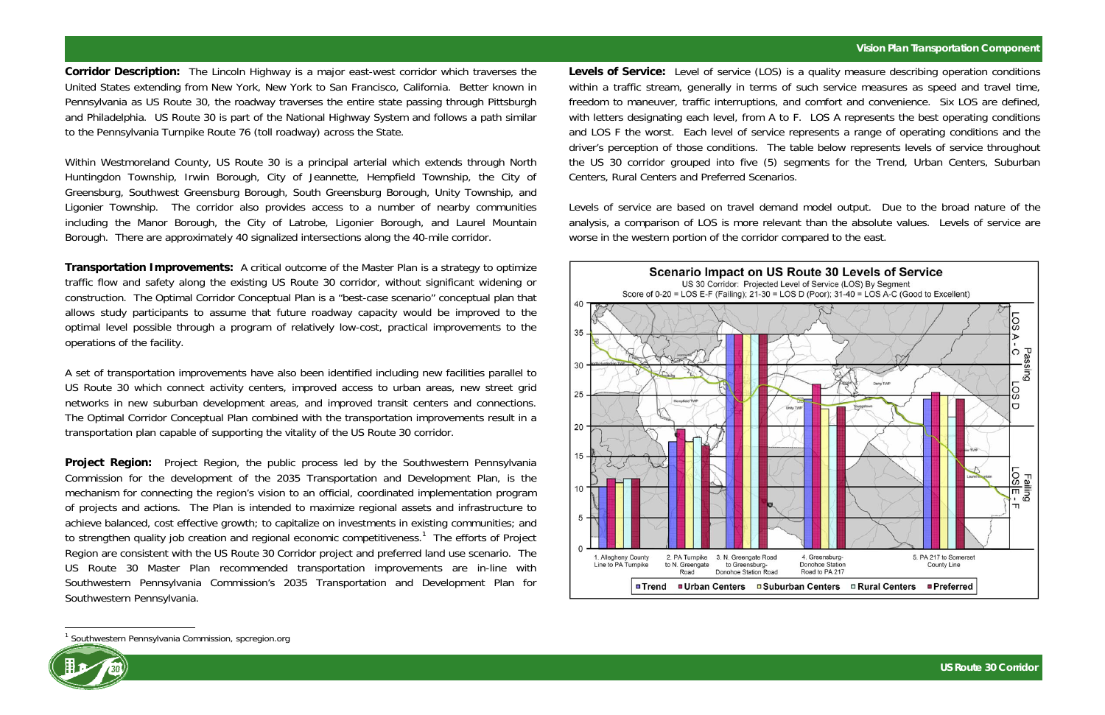## **Vision Plan Transportation Component**

**Corridor Description:** The Lincoln Highway is a major east-west corridor which traverses the United States extending from New York, New York to San Francisco, California. Better known in Pennsylvania as US Route 30, the roadway traverses the entire state passing through Pittsburgh and Philadelphia. US Route 30 is part of the National Highway System and follows a path similar to the Pennsylvania Turnpike Route 76 (toll roadway) across the State.

Within Westmoreland County, US Route 30 is a principal arterial which extends through North Huntingdon Township, Irwin Borough, City of Jeannette, Hempfield Township, the City of Greensburg, Southwest Greensburg Borough, South Greensburg Borough, Unity Township, and Ligonier Township. The corridor also provides access to a number of nearby communities including the Manor Borough, the City of Latrobe, Ligonier Borough, and Laurel Mountain Borough. There are approximately 40 signalized intersections along the 40-mile corridor.

**Transportation Improvements:** A critical outcome of the Master Plan is a strategy to optimize traffic flow and safety along the existing US Route 30 corridor, without significant widening or construction. The Optimal Corridor Conceptual Plan is a "best-case scenario" conceptual plan that allows study participants to assume that future roadway capacity would be improved to the optimal level possible through a program of relatively low-cost, practical improvements to the operations of the facility.

**Project Region:** Project Region, the public process led by the Southwestern Pennsylvania Commission for the development of the 2035 Transportation and Development Plan, is the mechanism for connecting the region's vision to an official, coordinated implementation program of projects and actions. The Plan is intended to maximize regional assets and infrastructure to achieve balanced, cost effective growth; to capitalize on investments in existing communities; and to strengthen quality job creation and regional economic competitiveness.<sup>1</sup> The efforts of Project Region are consistent with the US Route 30 Corridor project and preferred land use scenario. The US Route 30 Master Plan recommended transportation improvements are in-line with Southwestern Pennsylvania Commission's 2035 Transportation and Development Plan for Southwestern Pennsylvania.

A set of transportation improvements have also been identified including new facilities parallel to US Route 30 which connect activity centers, improved access to urban areas, new street grid networks in new suburban development areas, and improved transit centers and connections. The Optimal Corridor Conceptual Plan combined with the transportation improvements result in a transportation plan capable of supporting the vitality of the US Route 30 corridor.

<sup>1</sup> Southwestern Pennsylvania Commission, spcregion.org



**Levels of Service:** Level of service (LOS) is a quality measure describing operation conditions within a traffic stream, generally in terms of such service measures as speed and travel time, freedom to maneuver, traffic interruptions, and comfort and convenience. Six LOS are defined, with letters designating each level, from A to F. LOS A represents the best operating conditions and LOS F the worst. Each level of service represents a range of operating conditions and the driver's perception of those conditions. The table below represents levels of service throughout the US 30 corridor grouped into five (5) segments for the Trend, Urban Centers, Suburban Centers, Rural Centers and Preferred Scenarios.

Levels of service are based on travel demand model output. Due to the broad nature of the analysis, a comparison of LOS is more relevant than the absolute values. Levels of service are worse in the western portion of the corridor compared to the east.